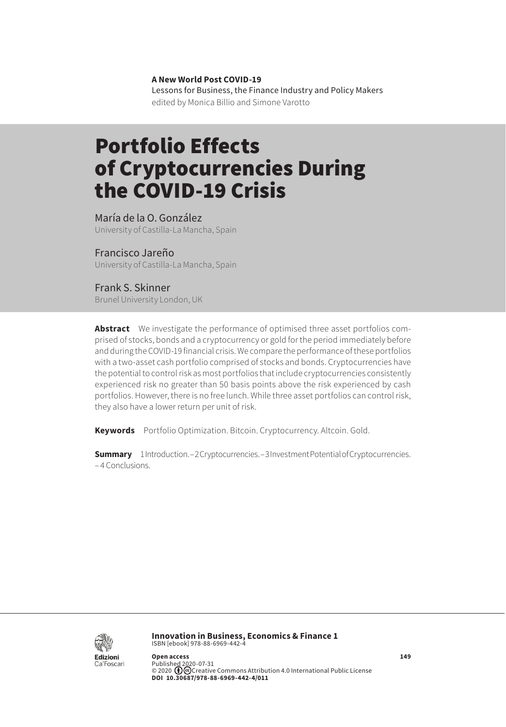**A New World Post COVID-19** Lessons for Business, the Finance Industry and Policy Makers edited by Monica Billio and Simone Varotto

# Portfolio Effects of Cryptocurrencies During the COVID-19 Crisis

María de la O. González University of Castilla-La Mancha, Spain

Francisco Jareño

University of Castilla-La Mancha, Spain

Frank S. Skinner Brunel University London, UK

**Abstract** We investigate the performance of optimised three asset portfolios comprised of stocks, bonds and a cryptocurrency or gold for the period immediately before and during the COVID-19 financial crisis. We compare the performance of these portfolios with a two-asset cash portfolio comprised of stocks and bonds. Cryptocurrencies have the potential to control risk as most portfolios that include cryptocurrencies consistently experienced risk no greater than 50 basis points above the risk experienced by cash portfolios. However, there is no free lunch. While three asset portfolios can control risk, they also have a lower return per unit of risk.

**Keywords** Portfolio Optimization. Bitcoin. Cryptocurrency. Altcoin. Gold.

**Summary** [1 Introduction](#page-1-0). – [2 Cryptocurrencies](#page-2-0). – [3 Investment Potential of Cryptocurrencies.](#page-3-0) – [4 Conclusions](#page-7-0).



**Innovation in Business, Economics & Finance 1** ISBN [ebook] 978-88-6969-442-4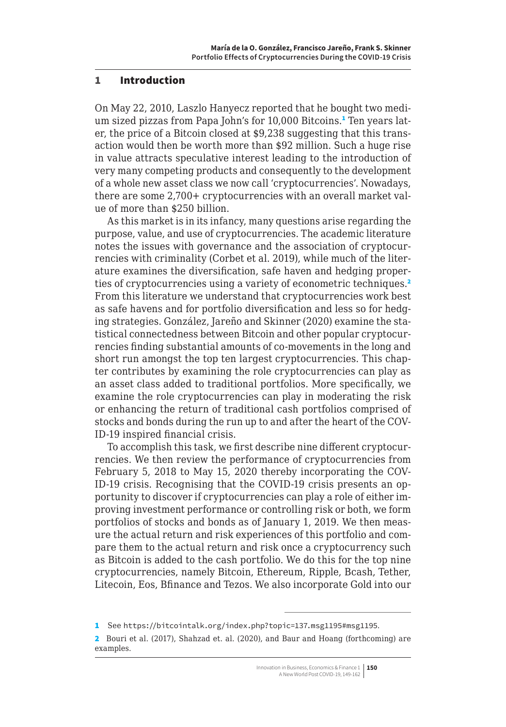#### <span id="page-1-0"></span>1 Introduction

On May 22, 2010, Laszlo Hanyecz reported that he bought two medium sized pizzas from Papa John's for 10,000 Bitcoins.<del>'</del> Ten years later, the price of a Bitcoin closed at \$9,238 suggesting that this transaction would then be worth more than \$92 million. Such a huge rise in value attracts speculative interest leading to the introduction of very many competing products and consequently to the development of a whole new asset class we now call 'cryptocurrencies'. Nowadays, there are some 2,700+ cryptocurrencies with an overall market value of more than \$250 billion.

As this market is in its infancy, many questions arise regarding the purpose, value, and use of cryptocurrencies. The academic literature notes the issues with governance and the association of cryptocurrencies with criminality (Corbet et al. 2019), while much of the literature examines the diversification, safe haven and hedging properties of cryptocurrencies using a variety of econometric techniques.<sup>2</sup> From this literature we understand that cryptocurrencies work best as safe havens and for portfolio diversification and less so for hedging strategies. González, Jareño and Skinner (2020) examine the statistical connectedness between Bitcoin and other popular cryptocurrencies finding substantial amounts of co-movements in the long and short run amongst the top ten largest cryptocurrencies. This chapter contributes by examining the role cryptocurrencies can play as an asset class added to traditional portfolios. More specifically, we examine the role cryptocurrencies can play in moderating the risk or enhancing the return of traditional cash portfolios comprised of stocks and bonds during the run up to and after the heart of the COV-ID-19 inspired financial crisis.

To accomplish this task, we first describe nine different cryptocurrencies. We then review the performance of cryptocurrencies from February 5, 2018 to May 15, 2020 thereby incorporating the COV-ID-19 crisis. Recognising that the COVID-19 crisis presents an opportunity to discover if cryptocurrencies can play a role of either improving investment performance or controlling risk or both, we form portfolios of stocks and bonds as of January 1, 2019. We then measure the actual return and risk experiences of this portfolio and compare them to the actual return and risk once a cryptocurrency such as Bitcoin is added to the cash portfolio. We do this for the top nine cryptocurrencies, namely Bitcoin, Ethereum, Ripple, Bcash, Tether, Litecoin, Eos, Bfinance and Tezos. We also incorporate Gold into our

<sup>1</sup> See <https://bitcointalk.org/index.php?topic=137.msg1195#msg1195>.

<sup>2</sup> Bouri et al. (2017), Shahzad et. al. (2020), and Baur and Hoang (forthcoming) are examples.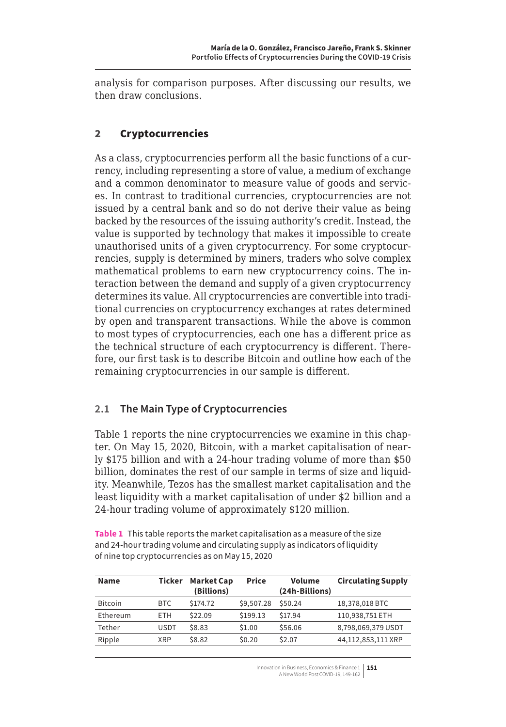<span id="page-2-0"></span>analysis for comparison purposes. After discussing our results, we then draw conclusions.

## 2 Cryptocurrencies

As a class, cryptocurrencies perform all the basic functions of a currency, including representing a store of value, a medium of exchange and a common denominator to measure value of goods and services. In contrast to traditional currencies, cryptocurrencies are not issued by a central bank and so do not derive their value as being backed by the resources of the issuing authority's credit. Instead, the value is supported by technology that makes it impossible to create unauthorised units of a given cryptocurrency. For some cryptocurrencies, supply is determined by miners, traders who solve complex mathematical problems to earn new cryptocurrency coins. The interaction between the demand and supply of a given cryptocurrency determines its value. All cryptocurrencies are convertible into traditional currencies on cryptocurrency exchanges at rates determined by open and transparent transactions. While the above is common to most types of cryptocurrencies, each one has a different price as the technical structure of each cryptocurrency is different. Therefore, our first task is to describe Bitcoin and outline how each of the remaining cryptocurrencies in our sample is different.

## **2.1 The Main Type of Cryptocurrencies**

Table 1 reports the nine cryptocurrencies we examine in this chapter. On May 15, 2020, Bitcoin, with a market capitalisation of nearly \$175 billion and with a 24-hour trading volume of more than \$50 billion, dominates the rest of our sample in terms of size and liquidity. Meanwhile, Tezos has the smallest market capitalisation and the least liquidity with a market capitalisation of under \$2 billion and a 24-hour trading volume of approximately \$120 million.

**Table 1** This table reports the market capitalisation as a measure of the size and 24-hour trading volume and circulating supply as indicators of liquidity of nine top cryptocurrencies as on May 15, 2020

| <b>Name</b>    | Ticker      | <b>Market Cap</b><br>(Billions) | Price      | Volume<br>(24h-Billions) | <b>Circulating Supply</b> |
|----------------|-------------|---------------------------------|------------|--------------------------|---------------------------|
| <b>Bitcoin</b> | BTC.        | \$174.72                        | \$9,507.28 | \$50.24                  | 18,378,018 BTC            |
| Ethereum       | <b>ETH</b>  | \$22.09                         | \$199.13   | \$17.94                  | 110,938,751 ETH           |
| Tether         | <b>USDT</b> | \$8.83                          | \$1.00     | \$56.06                  | 8,798,069,379 USDT        |
| Ripple         | XRP         | \$8.82                          | \$0.20     | \$2.07                   | 44,112,853,111 XRP        |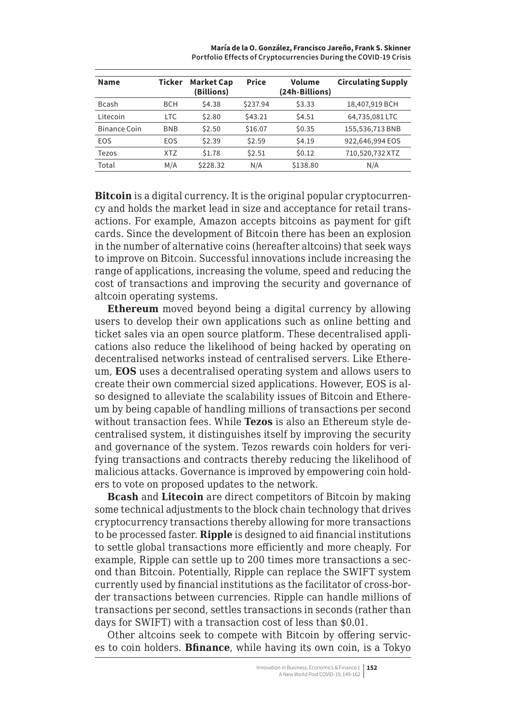<span id="page-3-0"></span>

| <b>Name</b>   | Ticker     | <b>Market Cap</b><br>(Billions) | <b>Price</b> | Volume<br>(24h-Billions) | <b>Circulating Supply</b> |  |  |
|---------------|------------|---------------------------------|--------------|--------------------------|---------------------------|--|--|
| <b>B</b> cash | <b>BCH</b> | \$4.38                          | \$237.94     | \$3.33                   | 18,407,919 BCH            |  |  |
| Litecoin      | <b>LTC</b> | \$2.80                          | \$43.21      | \$4.51                   | 64,735,081 LTC            |  |  |
| Binance Coin  | <b>BNB</b> | \$2.50                          | \$16.07      | \$0.35                   | 155,536,713 BNB           |  |  |
| EOS           | <b>EOS</b> | \$2.39                          | \$2.59       | \$4.19                   | 922,646,994 EOS           |  |  |
| Tezos         | <b>XTZ</b> | \$1.78                          | \$2.51       | \$0.12                   | 710,520,732 XTZ           |  |  |
| Total         | M/A        | \$228.32                        | N/A          | \$138.80                 | N/A                       |  |  |

**María de la O. González, Francisco Jareño, Frank S. Skinner Portfolio Effects of Cryptocurrencies During the COVID-19 Crisis**

**Bitcoin** is a digital currency. It is the original popular cryptocurrency and holds the market lead in size and acceptance for retail transactions. For example, Amazon accepts bitcoins as payment for gift cards. Since the development of Bitcoin there has been an explosion in the number of alternative coins (hereafter altcoins) that seek ways to improve on Bitcoin. Successful innovations include increasing the range of applications, increasing the volume, speed and reducing the cost of transactions and improving the security and governance of altcoin operating systems.

**Ethereum** moved beyond being a digital currency by allowing users to develop their own applications such as online betting and ticket sales via an open source platform. These decentralised applications also reduce the likelihood of being hacked by operating on decentralised networks instead of centralised servers. Like Ethereum, **EOS** uses a decentralised operating system and allows users to create their own commercial sized applications. However, EOS is also designed to alleviate the scalability issues of Bitcoin and Ethereum by being capable of handling millions of transactions per second without transaction fees. While **Tezos** is also an Ethereum style decentralised system, it distinguishes itself by improving the security and governance of the system. Tezos rewards coin holders for verifying transactions and contracts thereby reducing the likelihood of malicious attacks. Governance is improved by empowering coin holders to vote on proposed updates to the network.

**Bcash** and **Litecoin** are direct competitors of Bitcoin by making some technical adjustments to the block chain technology that drives cryptocurrency transactions thereby allowing for more transactions to be processed faster. **Ripple** is designed to aid financial institutions to settle global transactions more efficiently and more cheaply. For example, Ripple can settle up to 200 times more transactions a second than Bitcoin. Potentially, Ripple can replace the SWIFT system currently used by financial institutions as the facilitator of cross-border transactions between currencies. Ripple can handle millions of transactions per second, settles transactions in seconds (rather than days for SWIFT) with a transaction cost of less than \$0.01.

Other altcoins seek to compete with Bitcoin by offering services to coin holders. **Bfinance**, while having its own coin, is a Tokyo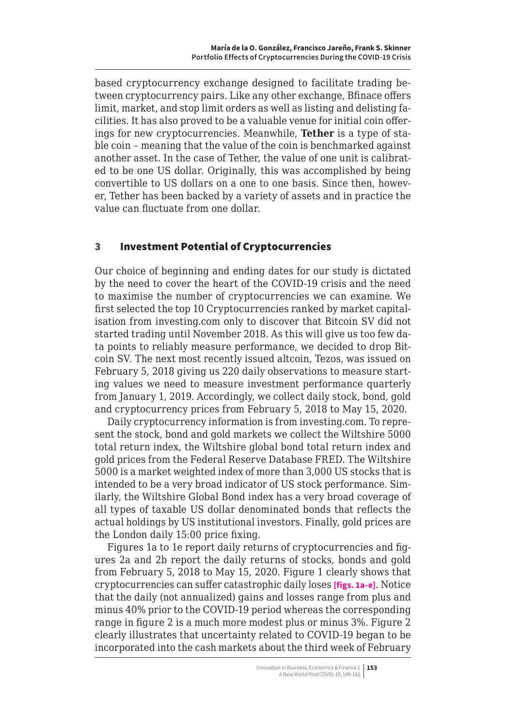based cryptocurrency exchange designed to facilitate trading between cryptocurrency pairs. Like any other exchange, Bfinace offers limit, market, and stop limit orders as well as listing and delisting facilities. It has also proved to be a valuable venue for initial coin offerings for new cryptocurrencies. Meanwhile, **Tether** is a type of stable coin – meaning that the value of the coin is benchmarked against another asset. In the case of Tether, the value of one unit is calibrated to be one US dollar. Originally, this was accomplished by being convertible to US dollars on a one to one basis. Since then, however, Tether has been backed by a variety of assets and in practice the value can fluctuate from one dollar.

#### 3 Investment Potential of Cryptocurrencies

Our choice of beginning and ending dates for our study is dictated by the need to cover the heart of the COVID-19 crisis and the need to maximise the number of cryptocurrencies we can examine. We first selected the top 10 Cryptocurrencies ranked by market capitalisation from investing.com only to discover that Bitcoin SV did not started trading until November 2018. As this will give us too few data points to reliably measure performance, we decided to drop Bitcoin SV. The next most recently issued altcoin, Tezos, was issued on February 5, 2018 giving us 220 daily observations to measure starting values we need to measure investment performance quarterly from January 1, 2019. Accordingly, we collect daily stock, bond, gold and cryptocurrency prices from February 5, 2018 to May 15, 2020.

Daily cryptocurrency information is from investing.com. To represent the stock, bond and gold markets we collect the Wiltshire 5000 total return index, the Wiltshire global bond total return index and gold prices from the Federal Reserve Database FRED. The Wiltshire 5000 is a market weighted index of more than 3,000 US stocks that is intended to be a very broad indicator of US stock performance. Similarly, the Wiltshire Global Bond index has a very broad coverage of all types of taxable US dollar denominated bonds that reflects the actual holdings by US institutional investors. Finally, gold prices are the London daily 15:00 price fixing.

Figures 1a to 1e report daily returns of cryptocurrencies and figures 2a and 2b report the daily returns of stocks, bonds and gold from February 5, 2018 to May 15, 2020. Figure 1 clearly shows that cryptocurrencies can suffer catastrophic daily loses **[figs. 1a-e]**. Notice that the daily (not annualized) gains and losses range from plus and minus 40% prior to the COVID-19 period whereas the corresponding range in figure 2 is a much more modest plus or minus 3%. Figure 2 clearly illustrates that uncertainty related to COVID-19 began to be incorporated into the cash markets about the third week of February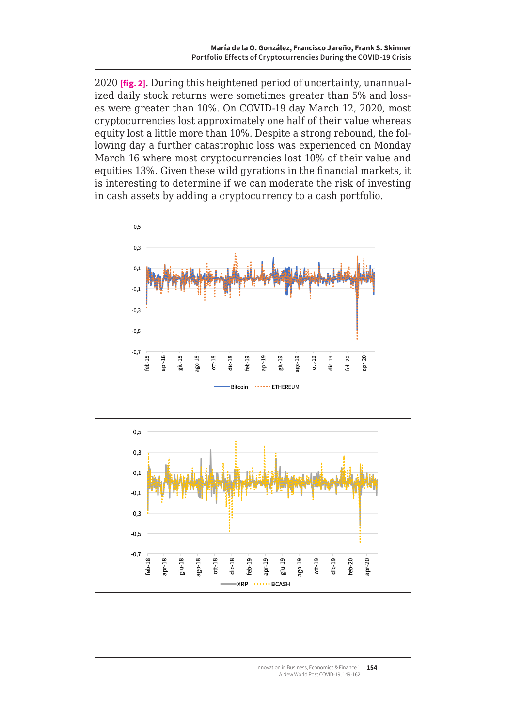2020 **[fig. 2]**. During this heightened period of uncertainty, unannualized daily stock returns were sometimes greater than 5% and losses were greater than 10%. On COVID-19 day March 12, 2020, most cryptocurrencies lost approximately one half of their value whereas equity lost a little more than 10%. Despite a strong rebound, the following day a further catastrophic loss was experienced on Monday March 16 where most cryptocurrencies lost 10% of their value and equities 13%. Given these wild gyrations in the financial markets, it is interesting to determine if we can moderate the risk of investing in cash assets by adding a cryptocurrency to a cash portfolio.



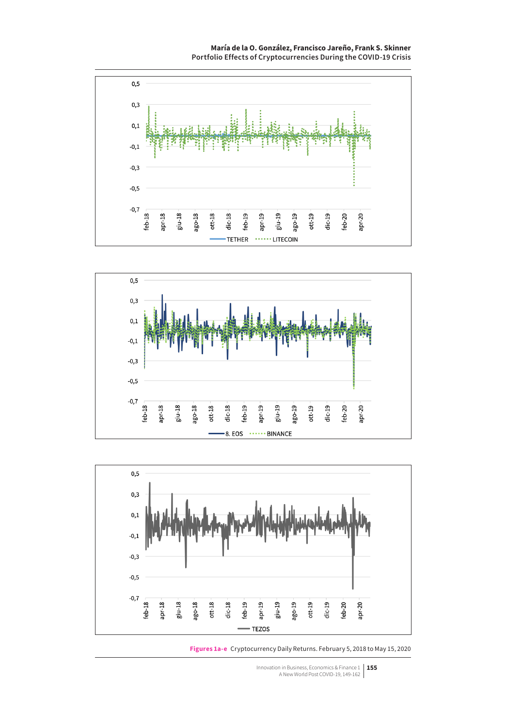**María de la O. González, Francisco Jareño, Frank S. Skinner Portfolio Effects of Cryptocurrencies During the COVID-19 Crisis**







**Figures 1a-e** Cryptocurrency Daily Returns. February 5, 2018 to May 15, 2020

Innovation in Business, Economics & Finance 1 **155** A New World Post COVID-19, 149-162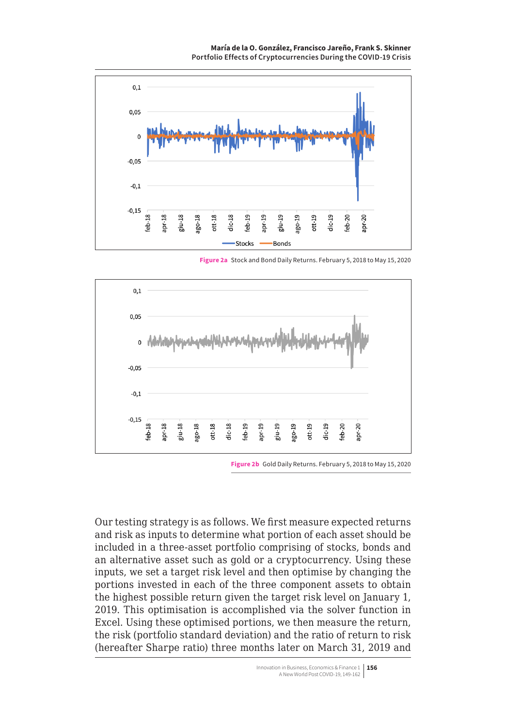**María de la O. González, Francisco Jareño, Frank S. Skinner Portfolio Effects of Cryptocurrencies During the COVID-19 Crisis**

<span id="page-7-0"></span>

**Figure 2a** Stock and Bond Daily Returns. February 5, 2018 to May 15, 2020



**Figure 2b** Gold Daily Returns. February 5, 2018 to May 15, 2020

Our testing strategy is as follows. We first measure expected returns and risk as inputs to determine what portion of each asset should be included in a three-asset portfolio comprising of stocks, bonds and an alternative asset such as gold or a cryptocurrency. Using these inputs, we set a target risk level and then optimise by changing the portions invested in each of the three component assets to obtain the highest possible return given the target risk level on January 1, 2019. This optimisation is accomplished via the solver function in Excel. Using these optimised portions, we then measure the return, the risk (portfolio standard deviation) and the ratio of return to risk (hereafter Sharpe ratio) three months later on March 31, 2019 and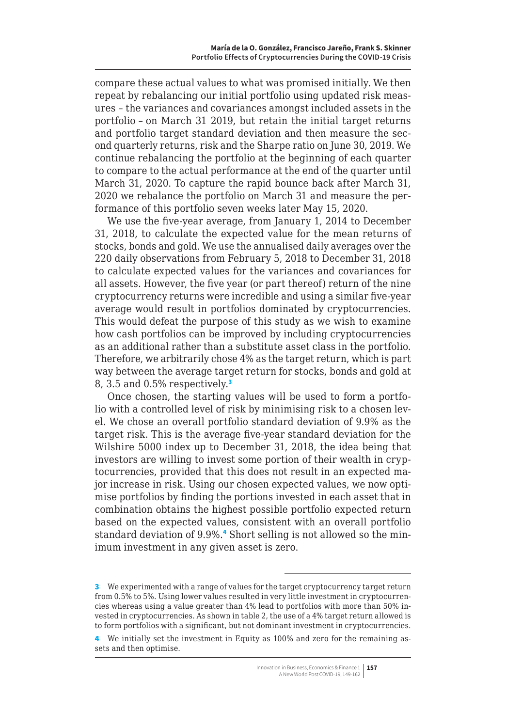compare these actual values to what was promised initially. We then repeat by rebalancing our initial portfolio using updated risk measures – the variances and covariances amongst included assets in the portfolio – on March 31 2019, but retain the initial target returns and portfolio target standard deviation and then measure the second quarterly returns, risk and the Sharpe ratio on June 30, 2019. We continue rebalancing the portfolio at the beginning of each quarter to compare to the actual performance at the end of the quarter until March 31, 2020. To capture the rapid bounce back after March 31, 2020 we rebalance the portfolio on March 31 and measure the performance of this portfolio seven weeks later May 15, 2020.

We use the five-year average, from January 1, 2014 to December 31, 2018, to calculate the expected value for the mean returns of stocks, bonds and gold. We use the annualised daily averages over the 220 daily observations from February 5, 2018 to December 31, 2018 to calculate expected values for the variances and covariances for all assets. However, the five year (or part thereof) return of the nine cryptocurrency returns were incredible and using a similar five-year average would result in portfolios dominated by cryptocurrencies. This would defeat the purpose of this study as we wish to examine how cash portfolios can be improved by including cryptocurrencies as an additional rather than a substitute asset class in the portfolio. Therefore, we arbitrarily chose 4% as the target return, which is part way between the average target return for stocks, bonds and gold at 8, 3.5 and 0.5% respectively.<sup>3</sup>

Once chosen, the starting values will be used to form a portfolio with a controlled level of risk by minimising risk to a chosen level. We chose an overall portfolio standard deviation of 9.9% as the target risk. This is the average five-year standard deviation for the Wilshire 5000 index up to December 31, 2018, the idea being that investors are willing to invest some portion of their wealth in cryptocurrencies, provided that this does not result in an expected major increase in risk. Using our chosen expected values, we now optimise portfolios by finding the portions invested in each asset that in combination obtains the highest possible portfolio expected return based on the expected values, consistent with an overall portfolio standard deviation of 9.9%.<sup>4</sup> Short selling is not allowed so the minimum investment in any given asset is zero.

<sup>3</sup> We experimented with a range of values for the target cryptocurrency target return from 0.5% to 5%. Using lower values resulted in very little investment in cryptocurrencies whereas using a value greater than 4% lead to portfolios with more than 50% invested in cryptocurrencies. As shown in table 2, the use of a 4% target return allowed is to form portfolios with a significant, but not dominant investment in cryptocurrencies.

<sup>4</sup> We initially set the investment in Equity as 100% and zero for the remaining assets and then optimise.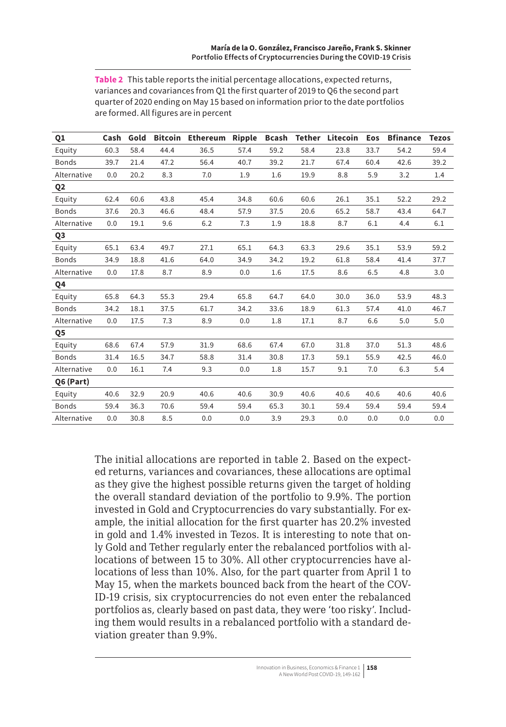**Table 2** This table reports the initial percentage allocations, expected returns, variances and covariances from Q1 the first quarter of 2019 to Q6 the second part quarter of 2020 ending on May 15 based on information prior to the date portfolios are formed. All figures are in percent

| Q1             | Cash | Gold |      | <b>Bitcoin Ethereum</b> | Ripple | <b>Bcash</b> |      | <b>Tether Litecoin</b> | Eos  | <b>Bfinance</b> | <b>Tezos</b> |
|----------------|------|------|------|-------------------------|--------|--------------|------|------------------------|------|-----------------|--------------|
| Equity         | 60.3 | 58.4 | 44.4 | 36.5                    | 57.4   | 59.2         | 58.4 | 23.8                   | 33.7 | 54.2            | 59.4         |
| <b>Bonds</b>   | 39.7 | 21.4 | 47.2 | 56.4                    | 40.7   | 39.2         | 21.7 | 67.4                   | 60.4 | 42.6            | 39.2         |
| Alternative    | 0.0  | 20.2 | 8.3  | 7.0                     | 1.9    | 1.6          | 19.9 | 8.8                    | 5.9  | 3.2             | 1.4          |
| Q <sub>2</sub> |      |      |      |                         |        |              |      |                        |      |                 |              |
| Equity         | 62.4 | 60.6 | 43.8 | 45.4                    | 34.8   | 60.6         | 60.6 | 26.1                   | 35.1 | 52.2            | 29.2         |
| <b>Bonds</b>   | 37.6 | 20.3 | 46.6 | 48.4                    | 57.9   | 37.5         | 20.6 | 65.2                   | 58.7 | 43.4            | 64.7         |
| Alternative    | 0.0  | 19.1 | 9.6  | 6.2                     | 7.3    | 1.9          | 18.8 | 8.7                    | 6.1  | 4.4             | 6.1          |
| Q <sub>3</sub> |      |      |      |                         |        |              |      |                        |      |                 |              |
| Equity         | 65.1 | 63.4 | 49.7 | 27.1                    | 65.1   | 64.3         | 63.3 | 29.6                   | 35.1 | 53.9            | 59.2         |
| <b>Bonds</b>   | 34.9 | 18.8 | 41.6 | 64.0                    | 34.9   | 34.2         | 19.2 | 61.8                   | 58.4 | 41.4            | 37.7         |
| Alternative    | 0.0  | 17.8 | 8.7  | 8.9                     | 0.0    | 1.6          | 17.5 | 8.6                    | 6.5  | 4.8             | 3.0          |
| Q4             |      |      |      |                         |        |              |      |                        |      |                 |              |
| Equity         | 65.8 | 64.3 | 55.3 | 29.4                    | 65.8   | 64.7         | 64.0 | 30.0                   | 36.0 | 53.9            | 48.3         |
| <b>Bonds</b>   | 34.2 | 18.1 | 37.5 | 61.7                    | 34.2   | 33.6         | 18.9 | 61.3                   | 57.4 | 41.0            | 46.7         |
| Alternative    | 0.0  | 17.5 | 7.3  | 8.9                     | 0.0    | 1.8          | 17.1 | 8.7                    | 6.6  | 5.0             | 5.0          |
| Q5             |      |      |      |                         |        |              |      |                        |      |                 |              |
| Equity         | 68.6 | 67.4 | 57.9 | 31.9                    | 68.6   | 67.4         | 67.0 | 31.8                   | 37.0 | 51.3            | 48.6         |
| <b>Bonds</b>   | 31.4 | 16.5 | 34.7 | 58.8                    | 31.4   | 30.8         | 17.3 | 59.1                   | 55.9 | 42.5            | 46.0         |
| Alternative    | 0.0  | 16.1 | 7.4  | 9.3                     | 0.0    | 1.8          | 15.7 | 9.1                    | 7.0  | 6.3             | 5.4          |
| Q6 (Part)      |      |      |      |                         |        |              |      |                        |      |                 |              |
| Equity         | 40.6 | 32.9 | 20.9 | 40.6                    | 40.6   | 30.9         | 40.6 | 40.6                   | 40.6 | 40.6            | 40.6         |
| <b>Bonds</b>   | 59.4 | 36.3 | 70.6 | 59.4                    | 59.4   | 65.3         | 30.1 | 59.4                   | 59.4 | 59.4            | 59.4         |
| Alternative    | 0.0  | 30.8 | 8.5  | 0.0                     | 0.0    | 3.9          | 29.3 | 0.0                    | 0.0  | 0.0             | 0.0          |

The initial allocations are reported in table 2. Based on the expected returns, variances and covariances, these allocations are optimal as they give the highest possible returns given the target of holding the overall standard deviation of the portfolio to 9.9%. The portion invested in Gold and Cryptocurrencies do vary substantially. For example, the initial allocation for the first quarter has 20.2% invested in gold and 1.4% invested in Tezos. It is interesting to note that only Gold and Tether regularly enter the rebalanced portfolios with allocations of between 15 to 30%. All other cryptocurrencies have allocations of less than 10%. Also, for the part quarter from April 1 to May 15, when the markets bounced back from the heart of the COV-ID-19 crisis, six cryptocurrencies do not even enter the rebalanced portfolios as, clearly based on past data, they were 'too risky'. Including them would results in a rebalanced portfolio with a standard deviation greater than 9.9%.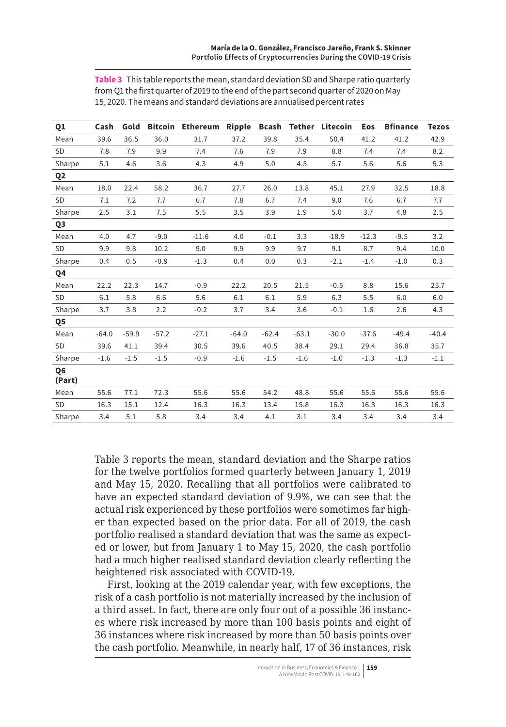| Q1             | Cash    | Gold    |         | Bitcoin Ethereum Ripple |         |         |         | <b>Bcash Tether Litecoin</b> | Eos     | <b>Bfinance</b> | <b>Tezos</b> |
|----------------|---------|---------|---------|-------------------------|---------|---------|---------|------------------------------|---------|-----------------|--------------|
| Mean           | 39.6    | 36.5    | 36.0    | 31.7                    | 37.2    | 39.8    | 35.4    | 50.4                         | 41.2    | 41.2            | 42.9         |
| <b>SD</b>      | 7.8     | 7.9     | 9.9     | 7.4                     | 7.6     | 7.9     | 7.9     | 8.8                          | 7.4     | 7.4             | 8.2          |
| Sharpe         | 5.1     | 4.6     | 3.6     | 4.3                     | 4.9     | 5.0     | 4.5     | 5.7                          | 5.6     | 5.6             | 5.3          |
| Q <sub>2</sub> |         |         |         |                         |         |         |         |                              |         |                 |              |
| Mean           | 18.0    | 22.4    | 58.2    | 36.7                    | 27.7    | 26.0    | 13.8    | 45.1                         | 27.9    | 32.5            | 18.8         |
| <b>SD</b>      | 7.1     | 7.2     | 7.7     | 6.7                     | 7.8     | 6.7     | 7.4     | 9.0                          | 7.6     | 6.7             | 7.7          |
| Sharpe         | 2.5     | 3.1     | 7.5     | 5.5                     | 3.5     | 3.9     | 1.9     | 5.0                          | 3.7     | 4.8             | 2.5          |
| Q <sub>3</sub> |         |         |         |                         |         |         |         |                              |         |                 |              |
| Mean           | 4.0     | 4.7     | $-9.0$  | $-11.6$                 | 4.0     | $-0.1$  | 3.3     | $-18.9$                      | $-12.3$ | $-9.5$          | 3.2          |
| <b>SD</b>      | 9.9     | 9.8     | 10.2    | 9.0                     | 9.9     | 9.9     | 9.7     | 9.1                          | 8.7     | 9.4             | 10.0         |
| Sharpe         | 0.4     | 0.5     | $-0.9$  | $-1.3$                  | 0.4     | 0.0     | 0.3     | $-2.1$                       | $-1.4$  | $-1.0$          | 0.3          |
| Q4             |         |         |         |                         |         |         |         |                              |         |                 |              |
| Mean           | 22.2    | 22.3    | 14.7    | $-0.9$                  | 22.2    | 20.5    | 21.5    | $-0.5$                       | 8.8     | 15.6            | 25.7         |
| <b>SD</b>      | 6.1     | 5.8     | 6.6     | 5.6                     | 6.1     | 6.1     | 5.9     | 6.3                          | 5.5     | 6.0             | 6.0          |
| Sharpe         | 3.7     | 3.8     | 2.2     | $-0.2$                  | 3.7     | 3.4     | 3.6     | $-0.1$                       | 1.6     | 2.6             | 4.3          |
| Q5             |         |         |         |                         |         |         |         |                              |         |                 |              |
| Mean           | $-64.0$ | $-59.9$ | $-57.2$ | $-27.1$                 | $-64.0$ | $-62.4$ | $-63.1$ | $-30.0$                      | $-37.6$ | $-49.4$         | $-40.4$      |
| <b>SD</b>      | 39.6    | 41.1    | 39.4    | 30.5                    | 39.6    | 40.5    | 38.4    | 29.1                         | 29.4    | 36.8            | 35.7         |
| Sharpe         | $-1.6$  | $-1.5$  | $-1.5$  | $-0.9$                  | $-1.6$  | $-1.5$  | $-1.6$  | $-1.0$                       | $-1.3$  | $-1.3$          | $-1.1$       |
| Q6<br>(Part)   |         |         |         |                         |         |         |         |                              |         |                 |              |
| Mean           | 55.6    | 77.1    | 72.3    | 55.6                    | 55.6    | 54.2    | 48.8    | 55.6                         | 55.6    | 55.6            | 55.6         |
| <b>SD</b>      | 16.3    | 15.1    | 12.4    | 16.3                    | 16.3    | 13.4    | 15.8    | 16.3                         | 16.3    | 16.3            | 16.3         |
| Sharpe         | 3.4     | 5.1     | 5.8     | 3.4                     | 3.4     | 4.1     | 3.1     | 3.4                          | 3.4     | 3.4             | 3.4          |

**Table 3** This table reports the mean, standard deviation SD and Sharpe ratio quarterly from Q1 the first quarter of 2019 to the end of the part second quarter of 2020 on May 15, 2020. The means and standard deviations are annualised percent rates

Table 3 reports the mean, standard deviation and the Sharpe ratios for the twelve portfolios formed quarterly between January 1, 2019 and May 15, 2020. Recalling that all portfolios were calibrated to have an expected standard deviation of 9.9%, we can see that the actual risk experienced by these portfolios were sometimes far higher than expected based on the prior data. For all of 2019, the cash portfolio realised a standard deviation that was the same as expected or lower, but from January 1 to May 15, 2020, the cash portfolio had a much higher realised standard deviation clearly reflecting the heightened risk associated with COVID-19.

First, looking at the 2019 calendar year, with few exceptions, the risk of a cash portfolio is not materially increased by the inclusion of a third asset. In fact, there are only four out of a possible 36 instances where risk increased by more than 100 basis points and eight of 36 instances where risk increased by more than 50 basis points over the cash portfolio. Meanwhile, in nearly half, 17 of 36 instances, risk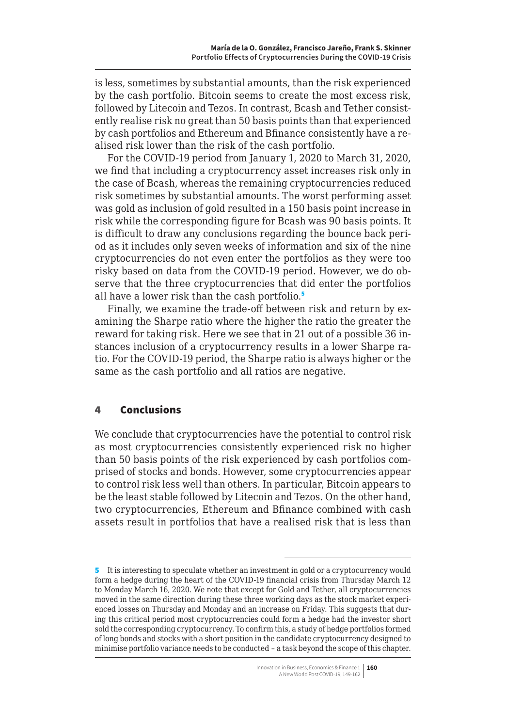is less, sometimes by substantial amounts, than the risk experienced by the cash portfolio. Bitcoin seems to create the most excess risk, followed by Litecoin and Tezos. In contrast, Bcash and Tether consistently realise risk no great than 50 basis points than that experienced by cash portfolios and Ethereum and Bfinance consistently have a realised risk lower than the risk of the cash portfolio.

For the COVID-19 period from January 1, 2020 to March 31, 2020, we find that including a cryptocurrency asset increases risk only in the case of Bcash, whereas the remaining cryptocurrencies reduced risk sometimes by substantial amounts. The worst performing asset was gold as inclusion of gold resulted in a 150 basis point increase in risk while the corresponding figure for Bcash was 90 basis points. It is difficult to draw any conclusions regarding the bounce back period as it includes only seven weeks of information and six of the nine cryptocurrencies do not even enter the portfolios as they were too risky based on data from the COVID-19 period. However, we do observe that the three cryptocurrencies that did enter the portfolios all have a lower risk than the cash portfolio.<sup>5</sup>

Finally, we examine the trade-off between risk and return by examining the Sharpe ratio where the higher the ratio the greater the reward for taking risk. Here we see that in 21 out of a possible 36 instances inclusion of a cryptocurrency results in a lower Sharpe ratio. For the COVID-19 period, the Sharpe ratio is always higher or the same as the cash portfolio and all ratios are negative.

#### 4 Conclusions

We conclude that cryptocurrencies have the potential to control risk as most cryptocurrencies consistently experienced risk no higher than 50 basis points of the risk experienced by cash portfolios comprised of stocks and bonds. However, some cryptocurrencies appear to control risk less well than others. In particular, Bitcoin appears to be the least stable followed by Litecoin and Tezos. On the other hand, two cryptocurrencies, Ethereum and Bfinance combined with cash assets result in portfolios that have a realised risk that is less than

<sup>5</sup> It is interesting to speculate whether an investment in gold or a cryptocurrency would form a hedge during the heart of the COVID-19 financial crisis from Thursday March 12 to Monday March 16, 2020. We note that except for Gold and Tether, all cryptocurrencies moved in the same direction during these three working days as the stock market experienced losses on Thursday and Monday and an increase on Friday. This suggests that during this critical period most cryptocurrencies could form a hedge had the investor short sold the corresponding cryptocurrency. To confirm this, a study of hedge portfolios formed of long bonds and stocks with a short position in the candidate cryptocurrency designed to minimise portfolio variance needs to be conducted – a task beyond the scope of this chapter.